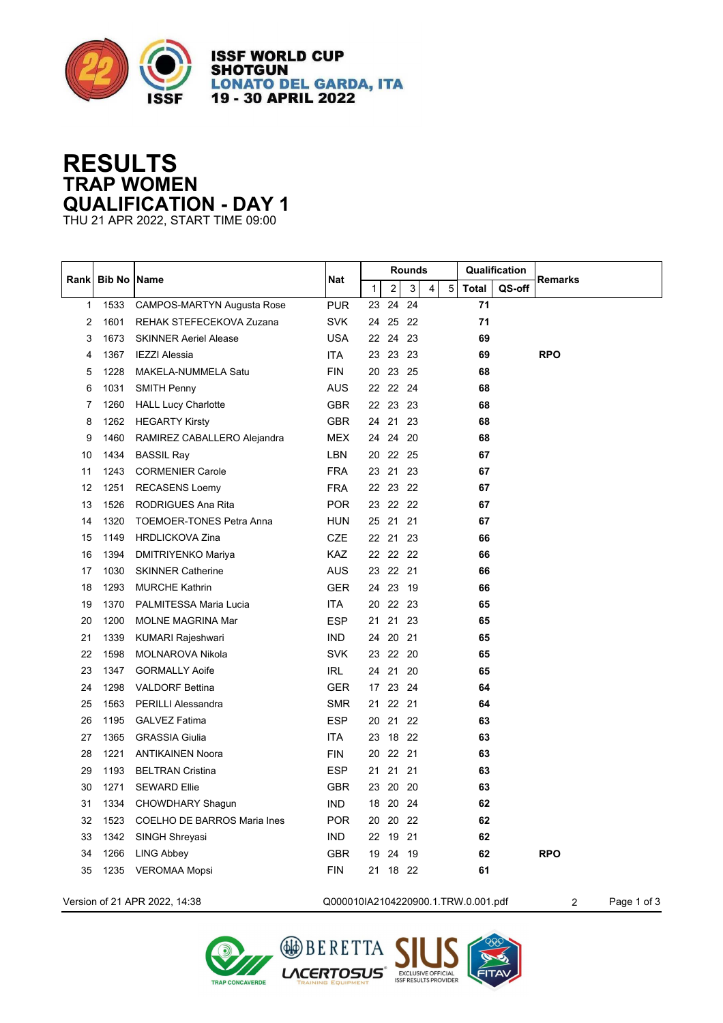

**ISSF WORLD CUP SHOTGUN LONATO DEL GARDA, ITA** 19 - 30 APRIL 2022

## **RESULTS TRAP WOMEN QUALIFICATION - DAY 1**

THU 21 APR 2022, START TIME 09:00

|              | <b>Bib No IName</b> |                                 | <b>Nat</b> | Rounds       |          |                |                |   | Qualification |        |                |
|--------------|---------------------|---------------------------------|------------|--------------|----------|----------------|----------------|---|---------------|--------|----------------|
| Rankl        |                     |                                 |            | $\mathbf{1}$ | 2        | $\overline{3}$ | $\overline{4}$ | 5 | <b>Total</b>  | QS-off | <b>Remarks</b> |
| $\mathbf{1}$ | 1533                | CAMPOS-MARTYN Augusta Rose      | <b>PUR</b> | 23           | 24       | 24             |                |   | 71            |        |                |
| 2            | 1601                | REHAK STEFECEKOVA Zuzana        | <b>SVK</b> | 24           | 25 22    |                |                |   | 71            |        |                |
| 3            | 1673                | <b>SKINNER Aeriel Alease</b>    | <b>USA</b> | 22           | 24 23    |                |                |   | 69            |        |                |
| 4            | 1367                | <b>IEZZI Alessia</b>            | <b>ITA</b> | 23           | 23 23    |                |                |   | 69            |        | <b>RPO</b>     |
| 5            | 1228                | MAKELA-NUMMELA Satu             | <b>FIN</b> | 20           | 23 25    |                |                |   | 68            |        |                |
| 6            | 1031                | <b>SMITH Penny</b>              | <b>AUS</b> |              | 22 22 24 |                |                |   | 68            |        |                |
| 7            | 1260                | <b>HALL Lucy Charlotte</b>      | <b>GBR</b> |              | 22 23 23 |                |                |   | 68            |        |                |
| 8            | 1262                | <b>HEGARTY Kirsty</b>           | <b>GBR</b> |              | 24 21 23 |                |                |   | 68            |        |                |
| 9            | 1460                | RAMIREZ CABALLERO Alejandra     | <b>MEX</b> | 24           | 24 20    |                |                |   | 68            |        |                |
| 10           | 1434                | <b>BASSIL Ray</b>               | <b>LBN</b> | 20           | 22 25    |                |                |   | 67            |        |                |
| 11           | 1243                | <b>CORMENIER Carole</b>         | <b>FRA</b> | 23           | 21       | 23             |                |   | 67            |        |                |
| 12           | 1251                | <b>RECASENS Loemy</b>           | <b>FRA</b> |              | 22 23 22 |                |                |   | 67            |        |                |
| 13           | 1526                | RODRIGUES Ana Rita              | <b>POR</b> | 23           | 22 22    |                |                |   | 67            |        |                |
| 14           | 1320                | <b>TOEMOER-TONES Petra Anna</b> | <b>HUN</b> | 25           | 21       | 21             |                |   | 67            |        |                |
| 15           | 1149                | <b>HRDLICKOVA Zina</b>          | <b>CZE</b> | 22 21        |          | 23             |                |   | 66            |        |                |
| 16           | 1394                | DMITRIYENKO Mariya              | <b>KAZ</b> |              | 22 22 22 |                |                |   | 66            |        |                |
| 17           | 1030                | <b>SKINNER Catherine</b>        | <b>AUS</b> |              | 23 22 21 |                |                |   | 66            |        |                |
| 18           | 1293                | <b>MURCHE Kathrin</b>           | <b>GER</b> | 24 23        |          | 19             |                |   | 66            |        |                |
| 19           | 1370                | PALMITESSA Maria Lucia          | ITA.       | 20           | 22 23    |                |                |   | 65            |        |                |
| 20           | 1200                | <b>MOLNE MAGRINA Mar</b>        | <b>ESP</b> | 21           | 21       | 23             |                |   | 65            |        |                |
| 21           | 1339                | <b>KUMARI Rajeshwari</b>        | <b>IND</b> | 24           | 20       | -21            |                |   | 65            |        |                |
| 22           | 1598                | MOLNAROVA Nikola                | <b>SVK</b> | 23           | 22       | - 20           |                |   | 65            |        |                |
| 23           | 1347                | <b>GORMALLY Aoife</b>           | <b>IRL</b> | 24           | 21       | 20             |                |   | 65            |        |                |
| 24           | 1298                | <b>VALDORF Bettina</b>          | <b>GER</b> | 17           | 23 24    |                |                |   | 64            |        |                |
| 25           | 1563                | <b>PERILLI Alessandra</b>       | <b>SMR</b> | 21           | 22 21    |                |                |   | 64            |        |                |
| 26           | 1195                | <b>GALVEZ Fatima</b>            | <b>ESP</b> | 20           | 21       | 22             |                |   | 63            |        |                |
| 27           | 1365                | <b>GRASSIA Giulia</b>           | <b>ITA</b> | 23           | 18 22    |                |                |   | 63            |        |                |
| 28           | 1221                | <b>ANTIKAINEN Noora</b>         | <b>FIN</b> | 20           | 22 21    |                |                |   | 63            |        |                |
| 29           | 1193                | <b>BELTRAN Cristina</b>         | <b>ESP</b> | 21           | 21       | 21             |                |   | 63            |        |                |
| 30           | 1271                | <b>SEWARD Ellie</b>             | <b>GBR</b> | 23           | 20       | 20             |                |   | 63            |        |                |
| 31           | 1334                | CHOWDHARY Shagun                | <b>IND</b> | 18           | 20 24    |                |                |   | 62            |        |                |
| 32           | 1523                | COELHO DE BARROS Maria Ines     | <b>POR</b> | 20           | 20 22    |                |                |   | 62            |        |                |
| 33           | 1342                | SINGH Shreyasi                  | <b>IND</b> | 22           | 19 21    |                |                |   | 62            |        |                |
| 34           | 1266                | <b>LING Abbey</b>               | <b>GBR</b> | 19           | 24       | -19            |                |   | 62            |        | <b>RPO</b>     |
| 35           | 1235                | <b>VEROMAA Mopsi</b>            | <b>FIN</b> | 21           | 18 22    |                |                |   | 61            |        |                |
|              |                     |                                 |            |              |          |                |                |   |               |        |                |



Version of 21 APR 2022, 14:38 Q000010IA2104220900.1.TRW.0.001.pdf 2 Page 1 of 3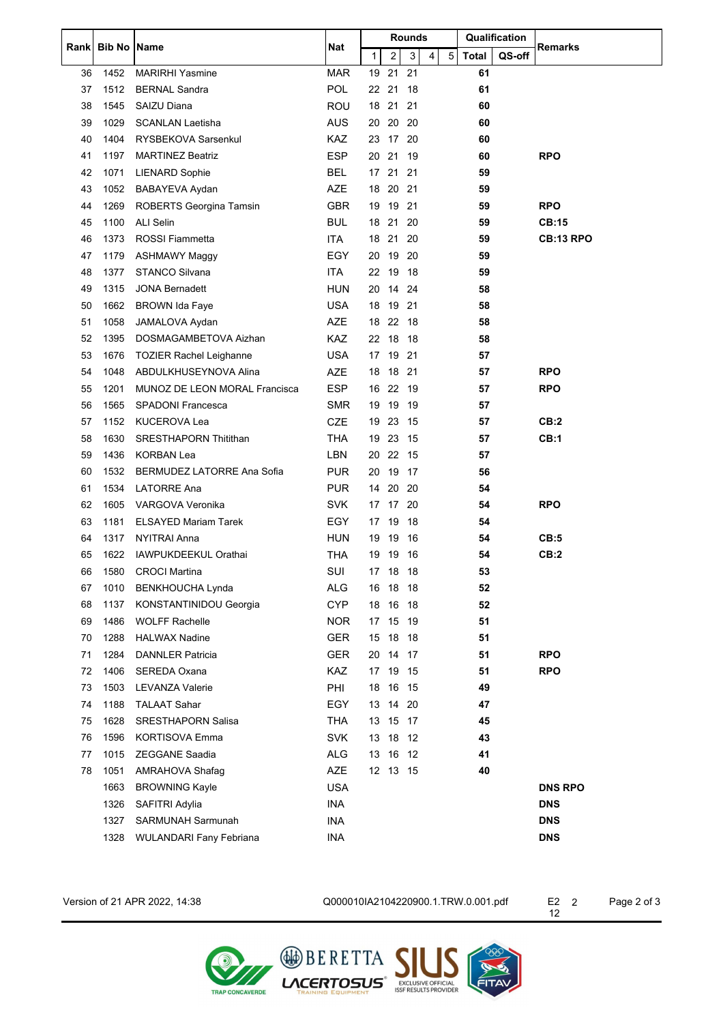|       | <b>Bib No IName</b> |                                      | Nat        | <b>Rounds</b>                                            |              | Qualification |                  |
|-------|---------------------|--------------------------------------|------------|----------------------------------------------------------|--------------|---------------|------------------|
| Rankl |                     |                                      |            | $\mathbf{3}$<br>1<br>$\mathbf{2}$<br>5 <sub>1</sub><br>4 | <b>Total</b> | QS-off        | <b>Remarks</b>   |
| 36    | 1452                | <b>MARIRHI Yasmine</b>               | <b>MAR</b> | 21<br>21<br>19                                           | 61           |               |                  |
| 37    | 1512                | <b>BERNAL Sandra</b>                 | POL        | 22 21 18                                                 | 61           |               |                  |
| 38    | 1545                | SAIZU Diana                          | <b>ROU</b> | 18<br>21 21                                              | 60           |               |                  |
| 39    | 1029                | <b>SCANLAN Laetisha</b>              | <b>AUS</b> | 20 20<br>20                                              | 60           |               |                  |
| 40    | 1404                | RYSBEKOVA Sarsenkul                  | KAZ        | 17 20<br>23                                              | 60           |               |                  |
| 41    | 1197                | <b>MARTINEZ Beatriz</b>              | <b>ESP</b> | 21 19<br>20                                              | 60           |               | <b>RPO</b>       |
| 42    | 1071                | <b>LIENARD Sophie</b>                | <b>BEL</b> | 17<br>21 21                                              | 59           |               |                  |
| 43    | 1052                | BABAYEVA Aydan                       | <b>AZE</b> | 20 21<br>18                                              | 59           |               |                  |
| 44    | 1269                | ROBERTS Georgina Tamsin              | <b>GBR</b> | 19 19 21                                                 | 59           |               | <b>RPO</b>       |
| 45    | 1100                | <b>ALI Selin</b>                     | <b>BUL</b> | 21<br>20<br>18                                           | 59           |               | <b>CB:15</b>     |
| 46    | 1373                | <b>ROSSI Fiammetta</b>               | <b>ITA</b> | 21 20<br>18                                              | 59           |               | <b>CB:13 RPO</b> |
| 47    | 1179                | <b>ASHMAWY Maggy</b>                 | EGY        | 19 20<br>20                                              | 59           |               |                  |
| 48    | 1377                | <b>STANCO Silvana</b>                | <b>ITA</b> | 22<br>19 18                                              | 59           |               |                  |
| 49    | 1315                | <b>JONA Bernadett</b>                | <b>HUN</b> | 20<br>14 24                                              | 58           |               |                  |
| 50    | 1662                | <b>BROWN Ida Faye</b>                | <b>USA</b> | 19 21<br>18                                              | 58           |               |                  |
| 51    | 1058                | JAMALOVA Aydan                       | <b>AZE</b> | 22 18<br>18                                              | 58           |               |                  |
| 52    | 1395                | DOSMAGAMBETOVA Aizhan                | KAZ        | 18 18<br>22                                              | 58           |               |                  |
| 53    | 1676                | <b>TOZIER Rachel Leighanne</b>       | <b>USA</b> | 19<br>21<br>17                                           | 57           |               |                  |
| 54    | 1048                | ABDULKHUSEYNOVA Alina                | AZE        | 18 21<br>18                                              | 57           |               | <b>RPO</b>       |
| 55    | 1201                | <b>MUNOZ DE LEON MORAL Francisca</b> | <b>ESP</b> | 16 22 19                                                 | 57           |               | <b>RPO</b>       |
| 56    | 1565                | SPADONI Francesca                    | <b>SMR</b> | 19<br>19<br>-19                                          | 57           |               |                  |
| 57    | 1152                | <b>KUCEROVA Lea</b>                  | <b>CZE</b> | 19<br>23<br>-15                                          | 57           |               | CB:2             |
| 58    | 1630                | <b>SRESTHAPORN Thitithan</b>         | <b>THA</b> | 23 15<br>19                                              | 57           |               | CB:1             |
| 59    | 1436                | <b>KORBAN Lea</b>                    | <b>LBN</b> | 20<br>22 15                                              | 57           |               |                  |
| 60    | 1532                | <b>BERMUDEZ LATORRE Ana Sofia</b>    | <b>PUR</b> | 20<br>19<br>-17                                          | 56           |               |                  |
| 61    | 1534                | <b>LATORRE Ana</b>                   | <b>PUR</b> | 20 20<br>14                                              | 54           |               |                  |
| 62    | 1605                | VARGOVA Veronika                     | <b>SVK</b> | 17 17 20                                                 | 54           |               | <b>RPO</b>       |
| 63    | 1181                | <b>ELSAYED Mariam Tarek</b>          | <b>EGY</b> | 18<br>19<br>17                                           | 54           |               |                  |
| 64    | 1317                | NYITRAI Anna                         | HUN        | 19<br>19<br>-16                                          | 54           |               | CB:5             |
| 65    | 1622                | <b>IAWPUKDEEKUL Orathai</b>          | <b>THA</b> | 19 19 16                                                 | 54           |               | CB:2             |
| 66    |                     | 1580 CROCI Martina                   | SUI        | 17 18 18                                                 | 53           |               |                  |
| 67    | 1010                | <b>BENKHOUCHA Lynda</b>              | ALG        | 16 18 18                                                 | 52           |               |                  |
| 68    | 1137                | KONSTANTINIDOU Georgia               | <b>CYP</b> | 16 18<br>18                                              | 52           |               |                  |
| 69    | 1486                | <b>WOLFF Rachelle</b>                | <b>NOR</b> | 17 15 19                                                 | 51           |               |                  |
| 70    | 1288                | <b>HALWAX Nadine</b>                 | <b>GER</b> | 18 18<br>15                                              | 51           |               |                  |
| 71    | 1284                | <b>DANNLER Patricia</b>              | <b>GER</b> | 14 17<br>20                                              | 51           |               | <b>RPO</b>       |
| 72    | 1406                | SEREDA Oxana                         | <b>KAZ</b> | 17 19 15                                                 | 51           |               | <b>RPO</b>       |
| 73    | 1503                | <b>LEVANZA Valerie</b>               | PHI        | 16 15<br>18                                              | 49           |               |                  |
| 74    | 1188                | <b>TALAAT Sahar</b>                  | <b>EGY</b> | 14 20<br>13                                              | 47           |               |                  |
| 75    | 1628                | <b>SRESTHAPORN Salisa</b>            | <b>THA</b> | 15 17<br>13                                              | 45           |               |                  |
| 76    | 1596                | <b>KORTISOVA Emma</b>                | <b>SVK</b> | 13 18 12                                                 | 43           |               |                  |
| 77    | 1015                | <b>ZEGGANE Saadia</b>                | ALG        | 13<br>16 12                                              | 41           |               |                  |
| 78    | 1051                | AMRAHOVA Shafag                      | <b>AZE</b> | 12 13 15                                                 | 40           |               |                  |
|       | 1663                | <b>BROWNING Kayle</b>                | <b>USA</b> |                                                          |              |               | <b>DNS RPO</b>   |
|       | 1326                | SAFITRI Adylia                       | <b>INA</b> |                                                          |              |               | <b>DNS</b>       |
|       | 1327                | SARMUNAH Sarmunah                    | <b>INA</b> |                                                          |              |               | <b>DNS</b>       |
|       | 1328                | <b>WULANDARI Fany Febriana</b>       | INA        |                                                          |              |               | <b>DNS</b>       |
|       |                     |                                      |            |                                                          |              |               |                  |

Version of 21 APR 2022, 14:38 Q000010IA2104220900.1.TRW.0.001.pdf E2

Page 2 of 3